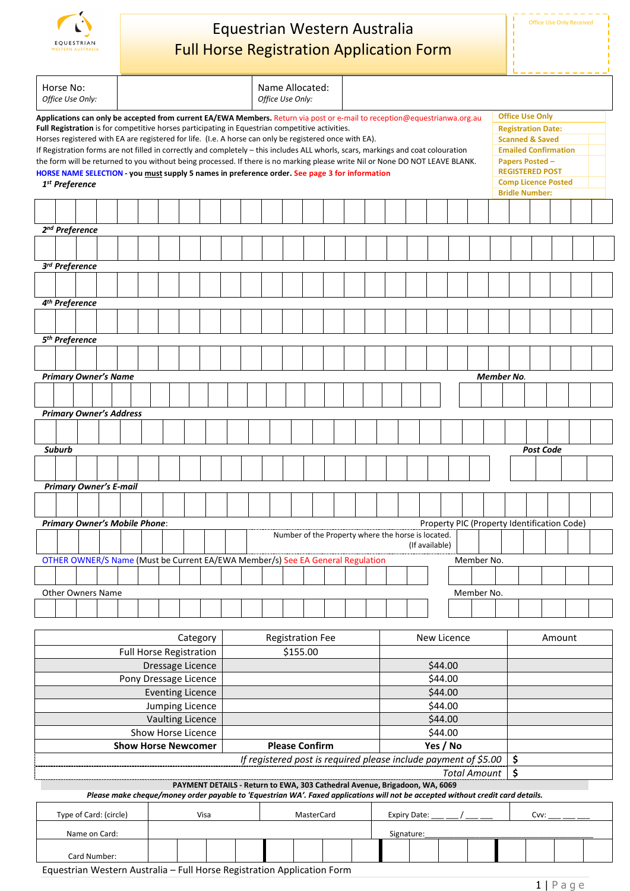

# Equestrian Western Australia Full Horse Registration Application Form

| Horse No:<br>Office Use Only:                                                                                                                                                                                                                                                                                                                                                                                                                                                                                                                                                                                                                                                                                                                |               |                             |  |                                                                                |            |                         |                                                                 |                       | Name Allocated:<br>Office Use Only: |  |  |                     |             |         |                     |  |          |                                                    |            |                |                                                                                                                                                                                                                             |                                             |            |  |                   |                  |  |  |  |
|----------------------------------------------------------------------------------------------------------------------------------------------------------------------------------------------------------------------------------------------------------------------------------------------------------------------------------------------------------------------------------------------------------------------------------------------------------------------------------------------------------------------------------------------------------------------------------------------------------------------------------------------------------------------------------------------------------------------------------------------|---------------|-----------------------------|--|--------------------------------------------------------------------------------|------------|-------------------------|-----------------------------------------------------------------|-----------------------|-------------------------------------|--|--|---------------------|-------------|---------|---------------------|--|----------|----------------------------------------------------|------------|----------------|-----------------------------------------------------------------------------------------------------------------------------------------------------------------------------------------------------------------------------|---------------------------------------------|------------|--|-------------------|------------------|--|--|--|
| Applications can only be accepted from current EA/EWA Members. Return via post or e-mail to reception@equestrianwa.org.au<br>Full Registration is for competitive horses participating in Equestrian competitive activities.<br>Horses registered with EA are registered for life. (I.e. A horse can only be registered once with EA).<br>If Registration forms are not filled in correctly and completely - this includes ALL whorls, scars, markings and coat colouration<br>the form will be returned to you without being processed. If there is no marking please write Nil or None DO NOT LEAVE BLANK.<br>HORSE NAME SELECTION - you must supply 5 names in preference order. See page 3 for information<br>1 <sup>st</sup> Preference |               |                             |  |                                                                                |            |                         |                                                                 |                       |                                     |  |  |                     |             |         |                     |  |          |                                                    |            |                | <b>Office Use Only</b><br><b>Registration Date:</b><br><b>Scanned &amp; Saved</b><br><b>Emailed Confirmation</b><br><b>Papers Posted -</b><br><b>REGISTERED POST</b><br><b>Comp Licence Posted</b><br><b>Bridle Number:</b> |                                             |            |  |                   |                  |  |  |  |
|                                                                                                                                                                                                                                                                                                                                                                                                                                                                                                                                                                                                                                                                                                                                              |               |                             |  |                                                                                |            |                         |                                                                 |                       |                                     |  |  |                     |             |         |                     |  |          |                                                    |            |                |                                                                                                                                                                                                                             |                                             |            |  |                   |                  |  |  |  |
|                                                                                                                                                                                                                                                                                                                                                                                                                                                                                                                                                                                                                                                                                                                                              |               |                             |  |                                                                                |            |                         |                                                                 |                       |                                     |  |  |                     |             |         |                     |  |          |                                                    |            |                |                                                                                                                                                                                                                             |                                             |            |  |                   |                  |  |  |  |
|                                                                                                                                                                                                                                                                                                                                                                                                                                                                                                                                                                                                                                                                                                                                              |               | 2 <sup>nd</sup> Preference  |  |                                                                                |            |                         |                                                                 |                       |                                     |  |  |                     |             |         |                     |  |          |                                                    |            |                |                                                                                                                                                                                                                             |                                             |            |  |                   |                  |  |  |  |
|                                                                                                                                                                                                                                                                                                                                                                                                                                                                                                                                                                                                                                                                                                                                              |               |                             |  |                                                                                |            |                         |                                                                 |                       |                                     |  |  |                     |             |         |                     |  |          |                                                    |            |                |                                                                                                                                                                                                                             |                                             |            |  |                   |                  |  |  |  |
|                                                                                                                                                                                                                                                                                                                                                                                                                                                                                                                                                                                                                                                                                                                                              |               | 3rd Preference              |  |                                                                                |            |                         |                                                                 |                       |                                     |  |  |                     |             |         |                     |  |          |                                                    |            |                |                                                                                                                                                                                                                             |                                             |            |  |                   |                  |  |  |  |
|                                                                                                                                                                                                                                                                                                                                                                                                                                                                                                                                                                                                                                                                                                                                              |               |                             |  |                                                                                |            |                         |                                                                 |                       |                                     |  |  |                     |             |         |                     |  |          |                                                    |            |                |                                                                                                                                                                                                                             |                                             |            |  |                   |                  |  |  |  |
|                                                                                                                                                                                                                                                                                                                                                                                                                                                                                                                                                                                                                                                                                                                                              |               | 4 <sup>th</sup> Preference  |  |                                                                                |            |                         |                                                                 |                       |                                     |  |  |                     |             |         |                     |  |          |                                                    |            |                |                                                                                                                                                                                                                             |                                             |            |  |                   |                  |  |  |  |
|                                                                                                                                                                                                                                                                                                                                                                                                                                                                                                                                                                                                                                                                                                                                              |               |                             |  |                                                                                |            |                         |                                                                 |                       |                                     |  |  |                     |             |         |                     |  |          |                                                    |            |                |                                                                                                                                                                                                                             |                                             |            |  |                   |                  |  |  |  |
|                                                                                                                                                                                                                                                                                                                                                                                                                                                                                                                                                                                                                                                                                                                                              |               | 5 <sup>th</sup> Preference  |  |                                                                                |            |                         |                                                                 |                       |                                     |  |  |                     |             |         |                     |  |          |                                                    |            |                |                                                                                                                                                                                                                             |                                             |            |  |                   |                  |  |  |  |
|                                                                                                                                                                                                                                                                                                                                                                                                                                                                                                                                                                                                                                                                                                                                              |               |                             |  |                                                                                |            |                         |                                                                 |                       |                                     |  |  |                     |             |         |                     |  |          |                                                    |            |                |                                                                                                                                                                                                                             |                                             |            |  |                   |                  |  |  |  |
|                                                                                                                                                                                                                                                                                                                                                                                                                                                                                                                                                                                                                                                                                                                                              |               | <b>Primary Owner's Name</b> |  |                                                                                |            |                         |                                                                 |                       |                                     |  |  |                     |             |         |                     |  |          |                                                    |            |                |                                                                                                                                                                                                                             |                                             |            |  | <b>Member No.</b> |                  |  |  |  |
|                                                                                                                                                                                                                                                                                                                                                                                                                                                                                                                                                                                                                                                                                                                                              |               |                             |  |                                                                                |            |                         |                                                                 |                       |                                     |  |  |                     |             |         |                     |  |          |                                                    |            |                |                                                                                                                                                                                                                             |                                             |            |  |                   |                  |  |  |  |
|                                                                                                                                                                                                                                                                                                                                                                                                                                                                                                                                                                                                                                                                                                                                              |               |                             |  | <b>Primary Owner's Address</b>                                                 |            |                         |                                                                 |                       |                                     |  |  |                     |             |         |                     |  |          |                                                    |            |                |                                                                                                                                                                                                                             |                                             |            |  |                   |                  |  |  |  |
|                                                                                                                                                                                                                                                                                                                                                                                                                                                                                                                                                                                                                                                                                                                                              |               |                             |  |                                                                                |            |                         |                                                                 |                       |                                     |  |  |                     |             |         |                     |  |          |                                                    |            |                |                                                                                                                                                                                                                             |                                             |            |  |                   |                  |  |  |  |
|                                                                                                                                                                                                                                                                                                                                                                                                                                                                                                                                                                                                                                                                                                                                              | <b>Suburb</b> |                             |  |                                                                                |            |                         |                                                                 |                       |                                     |  |  |                     |             |         |                     |  |          |                                                    |            |                |                                                                                                                                                                                                                             |                                             |            |  |                   | <b>Post Code</b> |  |  |  |
|                                                                                                                                                                                                                                                                                                                                                                                                                                                                                                                                                                                                                                                                                                                                              |               |                             |  |                                                                                |            |                         |                                                                 |                       |                                     |  |  |                     |             |         |                     |  |          |                                                    |            |                |                                                                                                                                                                                                                             |                                             |            |  |                   |                  |  |  |  |
|                                                                                                                                                                                                                                                                                                                                                                                                                                                                                                                                                                                                                                                                                                                                              |               |                             |  |                                                                                |            |                         |                                                                 |                       |                                     |  |  |                     |             |         |                     |  |          |                                                    |            |                |                                                                                                                                                                                                                             |                                             |            |  |                   |                  |  |  |  |
|                                                                                                                                                                                                                                                                                                                                                                                                                                                                                                                                                                                                                                                                                                                                              |               |                             |  | <b>Primary Owner's E-mail</b>                                                  |            |                         |                                                                 |                       |                                     |  |  |                     |             |         |                     |  |          |                                                    |            |                |                                                                                                                                                                                                                             |                                             |            |  |                   |                  |  |  |  |
|                                                                                                                                                                                                                                                                                                                                                                                                                                                                                                                                                                                                                                                                                                                                              |               |                             |  |                                                                                |            |                         |                                                                 |                       |                                     |  |  |                     |             |         |                     |  |          |                                                    |            |                |                                                                                                                                                                                                                             |                                             |            |  |                   |                  |  |  |  |
| <b>Primary Owner's Mobile Phone:</b>                                                                                                                                                                                                                                                                                                                                                                                                                                                                                                                                                                                                                                                                                                         |               |                             |  |                                                                                |            |                         |                                                                 |                       |                                     |  |  |                     |             |         |                     |  |          |                                                    |            |                |                                                                                                                                                                                                                             | Property PIC (Property Identification Code) |            |  |                   |                  |  |  |  |
|                                                                                                                                                                                                                                                                                                                                                                                                                                                                                                                                                                                                                                                                                                                                              |               |                             |  |                                                                                |            |                         |                                                                 |                       |                                     |  |  |                     |             |         |                     |  |          | Number of the Property where the horse is located. |            | (If available) |                                                                                                                                                                                                                             |                                             |            |  |                   |                  |  |  |  |
|                                                                                                                                                                                                                                                                                                                                                                                                                                                                                                                                                                                                                                                                                                                                              |               |                             |  | OTHER OWNER/S Name (Must be Current EA/EWA Member/s) See EA General Regulation |            |                         |                                                                 |                       |                                     |  |  |                     |             |         |                     |  |          |                                                    |            |                |                                                                                                                                                                                                                             |                                             | Member No. |  |                   |                  |  |  |  |
|                                                                                                                                                                                                                                                                                                                                                                                                                                                                                                                                                                                                                                                                                                                                              |               |                             |  |                                                                                |            |                         |                                                                 |                       |                                     |  |  |                     |             |         |                     |  |          |                                                    |            |                |                                                                                                                                                                                                                             |                                             |            |  |                   |                  |  |  |  |
|                                                                                                                                                                                                                                                                                                                                                                                                                                                                                                                                                                                                                                                                                                                                              |               | <b>Other Owners Name</b>    |  |                                                                                |            |                         |                                                                 |                       |                                     |  |  |                     |             |         |                     |  |          |                                                    |            |                |                                                                                                                                                                                                                             | Member No.                                  |            |  |                   |                  |  |  |  |
|                                                                                                                                                                                                                                                                                                                                                                                                                                                                                                                                                                                                                                                                                                                                              |               |                             |  |                                                                                |            |                         |                                                                 |                       |                                     |  |  |                     |             |         |                     |  |          |                                                    |            |                |                                                                                                                                                                                                                             |                                             |            |  |                   |                  |  |  |  |
|                                                                                                                                                                                                                                                                                                                                                                                                                                                                                                                                                                                                                                                                                                                                              |               |                             |  |                                                                                |            |                         |                                                                 |                       |                                     |  |  |                     |             |         |                     |  |          |                                                    |            |                |                                                                                                                                                                                                                             |                                             |            |  |                   |                  |  |  |  |
| Category                                                                                                                                                                                                                                                                                                                                                                                                                                                                                                                                                                                                                                                                                                                                     |               |                             |  |                                                                                |            | <b>Registration Fee</b> |                                                                 |                       |                                     |  |  |                     | New Licence |         |                     |  |          |                                                    | Amount     |                |                                                                                                                                                                                                                             |                                             |            |  |                   |                  |  |  |  |
| <b>Full Horse Registration</b><br>Dressage Licence                                                                                                                                                                                                                                                                                                                                                                                                                                                                                                                                                                                                                                                                                           |               |                             |  |                                                                                |            |                         | \$155.00                                                        |                       |                                     |  |  |                     |             | \$44.00 |                     |  |          |                                                    |            |                |                                                                                                                                                                                                                             |                                             |            |  |                   |                  |  |  |  |
| Pony Dressage Licence                                                                                                                                                                                                                                                                                                                                                                                                                                                                                                                                                                                                                                                                                                                        |               |                             |  |                                                                                |            |                         |                                                                 |                       |                                     |  |  |                     |             |         | \$44.00             |  |          |                                                    |            |                |                                                                                                                                                                                                                             |                                             |            |  |                   |                  |  |  |  |
| <b>Eventing Licence</b>                                                                                                                                                                                                                                                                                                                                                                                                                                                                                                                                                                                                                                                                                                                      |               |                             |  |                                                                                |            |                         |                                                                 |                       |                                     |  |  |                     |             |         | \$44.00             |  |          |                                                    |            |                |                                                                                                                                                                                                                             |                                             |            |  |                   |                  |  |  |  |
| Jumping Licence                                                                                                                                                                                                                                                                                                                                                                                                                                                                                                                                                                                                                                                                                                                              |               |                             |  |                                                                                |            |                         |                                                                 |                       |                                     |  |  |                     |             |         | \$44.00             |  |          |                                                    |            |                |                                                                                                                                                                                                                             |                                             |            |  |                   |                  |  |  |  |
| Vaulting Licence<br>Show Horse Licence                                                                                                                                                                                                                                                                                                                                                                                                                                                                                                                                                                                                                                                                                                       |               |                             |  |                                                                                |            |                         |                                                                 |                       |                                     |  |  |                     |             |         | \$44.00<br>\$44.00  |  |          |                                                    |            |                |                                                                                                                                                                                                                             |                                             |            |  |                   |                  |  |  |  |
| <b>Show Horse Newcomer</b>                                                                                                                                                                                                                                                                                                                                                                                                                                                                                                                                                                                                                                                                                                                   |               |                             |  |                                                                                |            |                         |                                                                 | <b>Please Confirm</b> |                                     |  |  |                     |             |         |                     |  | Yes / No |                                                    |            |                |                                                                                                                                                                                                                             |                                             |            |  |                   |                  |  |  |  |
|                                                                                                                                                                                                                                                                                                                                                                                                                                                                                                                                                                                                                                                                                                                                              |               |                             |  |                                                                                |            |                         | If registered post is required please include payment of \$5.00 |                       |                                     |  |  |                     |             |         |                     |  | \$       |                                                    |            |                |                                                                                                                                                                                                                             |                                             |            |  |                   |                  |  |  |  |
|                                                                                                                                                                                                                                                                                                                                                                                                                                                                                                                                                                                                                                                                                                                                              |               |                             |  |                                                                                |            |                         |                                                                 |                       |                                     |  |  |                     |             |         | <b>Total Amount</b> |  |          |                                                    |            |                | \$                                                                                                                                                                                                                          |                                             |            |  |                   |                  |  |  |  |
| PAYMENT DETAILS - Return to EWA, 303 Cathedral Avenue, Brigadoon, WA, 6069<br>Please make cheque/money order payable to 'Equestrian WA'. Faxed applications will not be accepted without credit card details.                                                                                                                                                                                                                                                                                                                                                                                                                                                                                                                                |               |                             |  |                                                                                |            |                         |                                                                 |                       |                                     |  |  |                     |             |         |                     |  |          |                                                    |            |                |                                                                                                                                                                                                                             |                                             |            |  |                   |                  |  |  |  |
|                                                                                                                                                                                                                                                                                                                                                                                                                                                                                                                                                                                                                                                                                                                                              |               |                             |  |                                                                                |            |                         |                                                                 |                       |                                     |  |  |                     |             |         |                     |  |          |                                                    |            |                |                                                                                                                                                                                                                             |                                             |            |  |                   |                  |  |  |  |
| Type of Card: (circle)<br>Visa                                                                                                                                                                                                                                                                                                                                                                                                                                                                                                                                                                                                                                                                                                               |               |                             |  |                                                                                | MasterCard |                         |                                                                 |                       |                                     |  |  | <b>Expiry Date:</b> |             |         |                     |  |          |                                                    | Cvv:       |                |                                                                                                                                                                                                                             |                                             |            |  |                   |                  |  |  |  |
|                                                                                                                                                                                                                                                                                                                                                                                                                                                                                                                                                                                                                                                                                                                                              |               | Name on Card:               |  |                                                                                |            |                         |                                                                 |                       |                                     |  |  |                     |             |         |                     |  |          |                                                    | Signature: |                |                                                                                                                                                                                                                             |                                             |            |  |                   |                  |  |  |  |
| Card Number:                                                                                                                                                                                                                                                                                                                                                                                                                                                                                                                                                                                                                                                                                                                                 |               |                             |  |                                                                                |            |                         |                                                                 |                       |                                     |  |  |                     |             |         |                     |  |          |                                                    |            |                |                                                                                                                                                                                                                             |                                             |            |  |                   |                  |  |  |  |

Equestrian Western Australia – Full Horse Registration Application Form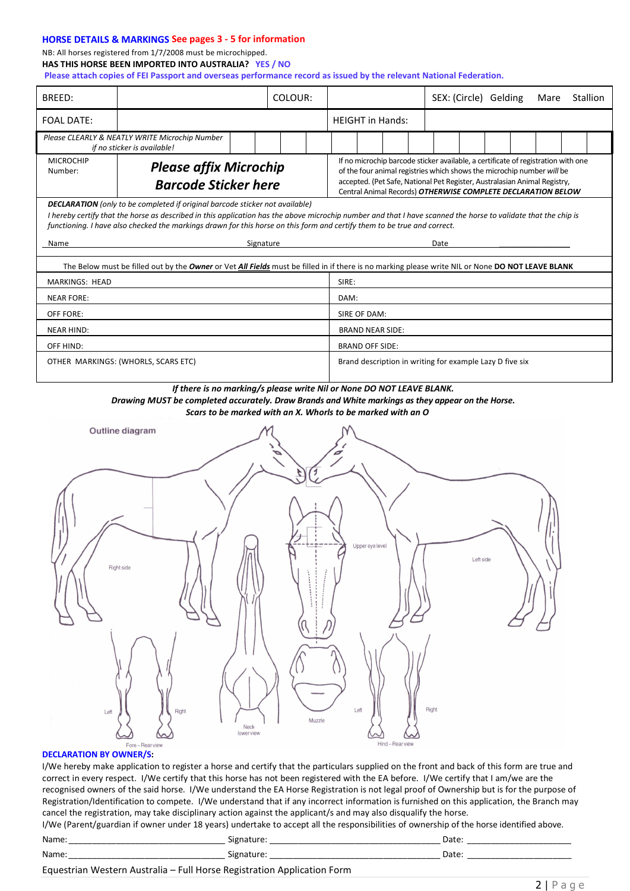# **HORSE DETAILS & MARKINGS See pages 3 - 5 for information**

## NB: All horses registered from 1/7/2008 must be microchipped. **HAS THIS HORSE BEEN IMPORTED INTO AUSTRALIA? YES / NO**

**Please attach copies of FEI Passport and overseas performance record as issued by the relevant National Federation.**

| BREED:                                                                                                                                                                                                                                                                                                                                                                            | COLOUR:                                                                                                                                                                                                                                                                                                  |                                                          | SEX: (Circle) Gelding |  | Mare | Stallion |  |  |  |  |  |  |
|-----------------------------------------------------------------------------------------------------------------------------------------------------------------------------------------------------------------------------------------------------------------------------------------------------------------------------------------------------------------------------------|----------------------------------------------------------------------------------------------------------------------------------------------------------------------------------------------------------------------------------------------------------------------------------------------------------|----------------------------------------------------------|-----------------------|--|------|----------|--|--|--|--|--|--|
| <b>FOAL DATE:</b>                                                                                                                                                                                                                                                                                                                                                                 |                                                                                                                                                                                                                                                                                                          | <b>HEIGHT</b> in Hands:                                  |                       |  |      |          |  |  |  |  |  |  |
| Please CLEARLY & NEATLY WRITE Microchip Number<br>if no sticker is available!                                                                                                                                                                                                                                                                                                     |                                                                                                                                                                                                                                                                                                          |                                                          |                       |  |      |          |  |  |  |  |  |  |
| <b>MICROCHIP</b><br><b>Please affix Microchip</b><br>Number:<br><b>Barcode Sticker here</b>                                                                                                                                                                                                                                                                                       | If no microchip barcode sticker available, a certificate of registration with one<br>of the four animal registries which shows the microchip number will be<br>accepted. (Pet Safe, National Pet Register, Australasian Animal Registry,<br>Central Animal Records) OTHERWISE COMPLETE DECLARATION BELOW |                                                          |                       |  |      |          |  |  |  |  |  |  |
| <b>DECLARATION</b> (only to be completed if original barcode sticker not available)<br>I hereby certify that the horse as described in this application has the above microchip number and that I have scanned the horse to validate that the chip is<br>functioning. I have also checked the markings drawn for this horse on this form and certify them to be true and correct. |                                                                                                                                                                                                                                                                                                          |                                                          |                       |  |      |          |  |  |  |  |  |  |
| Name<br>Signature                                                                                                                                                                                                                                                                                                                                                                 |                                                                                                                                                                                                                                                                                                          |                                                          | Date                  |  |      |          |  |  |  |  |  |  |
| The Below must be filled out by the Owner or Vet All Fields must be filled in if there is no marking please write NIL or None DO NOT LEAVE BLANK                                                                                                                                                                                                                                  |                                                                                                                                                                                                                                                                                                          |                                                          |                       |  |      |          |  |  |  |  |  |  |
| <b>MARKINGS: HEAD</b>                                                                                                                                                                                                                                                                                                                                                             |                                                                                                                                                                                                                                                                                                          | SIRE:                                                    |                       |  |      |          |  |  |  |  |  |  |
| <b>NEAR FORE:</b>                                                                                                                                                                                                                                                                                                                                                                 |                                                                                                                                                                                                                                                                                                          | DAM:                                                     |                       |  |      |          |  |  |  |  |  |  |
| OFF FORE:                                                                                                                                                                                                                                                                                                                                                                         |                                                                                                                                                                                                                                                                                                          | SIRE OF DAM:                                             |                       |  |      |          |  |  |  |  |  |  |
| <b>NEAR HIND:</b>                                                                                                                                                                                                                                                                                                                                                                 |                                                                                                                                                                                                                                                                                                          | <b>BRAND NEAR SIDE:</b>                                  |                       |  |      |          |  |  |  |  |  |  |
| OFF HIND:                                                                                                                                                                                                                                                                                                                                                                         |                                                                                                                                                                                                                                                                                                          | <b>BRAND OFF SIDE:</b>                                   |                       |  |      |          |  |  |  |  |  |  |
| OTHER MARKINGS: (WHORLS, SCARS ETC)                                                                                                                                                                                                                                                                                                                                               |                                                                                                                                                                                                                                                                                                          | Brand description in writing for example Lazy D five six |                       |  |      |          |  |  |  |  |  |  |
| Drawing MUST be completed accurately. Draw Brands and White markings as they appear on the Horse.<br>Scars to be marked with an X. Whorls to be marked with an O<br>Outline diagram<br>Upper eye level<br>Left side<br>Right side<br>Right<br>Left<br>Right<br>Left<br>Muzzle<br>Neck<br>lower view<br>Hind-Rearview<br>Fore-Rearview<br>airn fe                                  |                                                                                                                                                                                                                                                                                                          |                                                          |                       |  |      |          |  |  |  |  |  |  |

#### **DECLARATION BY OWNER/S:**

I/We hereby make application to register a horse and certify that the particulars supplied on the front and back of this form are true and correct in every respect. I/We certify that this horse has not been registered with the EA before. I/We certify that I am/we are the recognised owners of the said horse. I/We understand the EA Horse Registration is not legal proof of Ownership but is for the purpose of Registration/Identification to compete. I/We understand that if any incorrect information is furnished on this application, the Branch may cancel the registration, may take disciplinary action against the applicant/s and may also disqualify the horse.

I/We (Parent/guardian if owner under 18 years) undertake to accept all the responsibilities of ownership of the horse identified above.

| Name<br>_________<br>___ | ۱ρ<br>-<br>__________<br>_____________________<br>_________ | ำาา<br>Dale<br>______<br>______<br>_______ |
|--------------------------|-------------------------------------------------------------|--------------------------------------------|
| Name                     | צוכ                                                         | Dalt                                       |
| __________               | . .                                                         | ________________                           |
| _____                    | ____                                                        | ______                                     |

Equestrian Western Australia – Full Horse Registration Application Form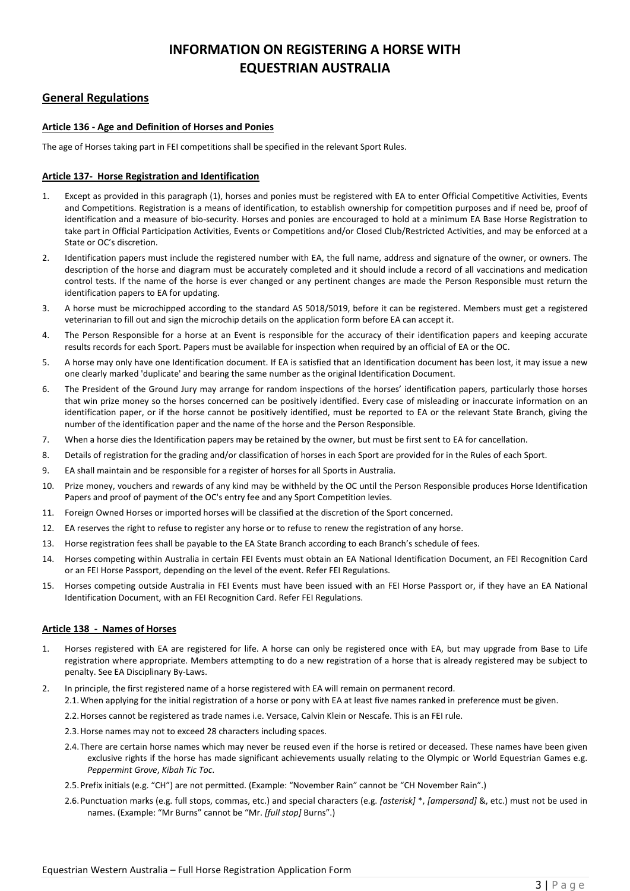# **INFORMATION ON REGISTERING A HORSE WITH EQUESTRIAN AUSTRALIA**

## **General Regulations**

### **Article 136 - Age and Definition of Horses and Ponies**

The age of Horses taking part in FEI competitions shall be specified in the relevant Sport Rules.

#### **Article 137- Horse Registration and Identification**

- 1. Except as provided in this paragraph (1), horses and ponies must be registered with EA to enter Official Competitive Activities, Events and Competitions. Registration is a means of identification, to establish ownership for competition purposes and if need be, proof of identification and a measure of bio-security. Horses and ponies are encouraged to hold at a minimum EA Base Horse Registration to take part in Official Participation Activities, Events or Competitions and/or Closed Club/Restricted Activities, and may be enforced at a State or OC's discretion.
- 2. Identification papers must include the registered number with EA, the full name, address and signature of the owner, or owners. The description of the horse and diagram must be accurately completed and it should include a record of all vaccinations and medication control tests. If the name of the horse is ever changed or any pertinent changes are made the Person Responsible must return the identification papers to EA for updating.
- 3. A horse must be microchipped according to the standard AS 5018/5019, before it can be registered. Members must get a registered veterinarian to fill out and sign the microchip details on the application form before EA can accept it.
- 4. The Person Responsible for a horse at an Event is responsible for the accuracy of their identification papers and keeping accurate results records for each Sport. Papers must be available for inspection when required by an official of EA or the OC.
- 5. A horse may only have one Identification document. If EA is satisfied that an Identification document has been lost, it may issue a new one clearly marked 'duplicate' and bearing the same number as the original Identification Document.
- 6. The President of the Ground Jury may arrange for random inspections of the horses' identification papers, particularly those horses that win prize money so the horses concerned can be positively identified. Every case of misleading or inaccurate information on an identification paper, or if the horse cannot be positively identified, must be reported to EA or the relevant State Branch, giving the number of the identification paper and the name of the horse and the Person Responsible.
- 7. When a horse dies the Identification papers may be retained by the owner, but must be first sent to EA for cancellation.
- 8. Details of registration for the grading and/or classification of horses in each Sport are provided for in the Rules of each Sport.
- 9. EA shall maintain and be responsible for a register of horses for all Sports in Australia.
- 10. Prize money, vouchers and rewards of any kind may be withheld by the OC until the Person Responsible produces Horse Identification Papers and proof of payment of the OC's entry fee and any Sport Competition levies.
- 11. Foreign Owned Horses or imported horses will be classified at the discretion of the Sport concerned.
- 12. EA reserves the right to refuse to register any horse or to refuse to renew the registration of any horse.
- 13. Horse registration fees shall be payable to the EA State Branch according to each Branch's schedule of fees.
- 14. Horses competing within Australia in certain FEI Events must obtain an EA National Identification Document, an FEI Recognition Card or an FEI Horse Passport, depending on the level of the event. Refer FEI Regulations.
- 15. Horses competing outside Australia in FEI Events must have been issued with an FEI Horse Passport or, if they have an EA National Identification Document, with an FEI Recognition Card. Refer FEI Regulations.

#### **Article 138 - Names of Horses**

- 1. Horses registered with EA are registered for life. A horse can only be registered once with EA, but may upgrade from Base to Life registration where appropriate. Members attempting to do a new registration of a horse that is already registered may be subject to penalty. See EA Disciplinary By-Laws.
- 2. In principle, the first registered name of a horse registered with EA will remain on permanent record.
	- 2.1.When applying for the initial registration of a horse or pony with EA at least five names ranked in preference must be given.
	- 2.2.Horses cannot be registered as trade names i.e. Versace, Calvin Klein or Nescafe. This is an FEI rule.
	- 2.3.Horse names may not to exceed 28 characters including spaces.
	- 2.4.There are certain horse names which may never be reused even if the horse is retired or deceased. These names have been given exclusive rights if the horse has made significant achievements usually relating to the Olympic or World Equestrian Games e.g. *Peppermint Grove*, *Kibah Tic Toc*.
	- 2.5.Prefix initials (e.g. "CH") are not permitted. (Example: "November Rain" cannot be "CH November Rain".)
	- 2.6.Punctuation marks (e.g. full stops, commas, etc.) and special characters (e.g. *[asterisk]* \*, *[ampersand]* &, etc.) must not be used in names. (Example: "Mr Burns" cannot be "Mr. *[full stop]* Burns".)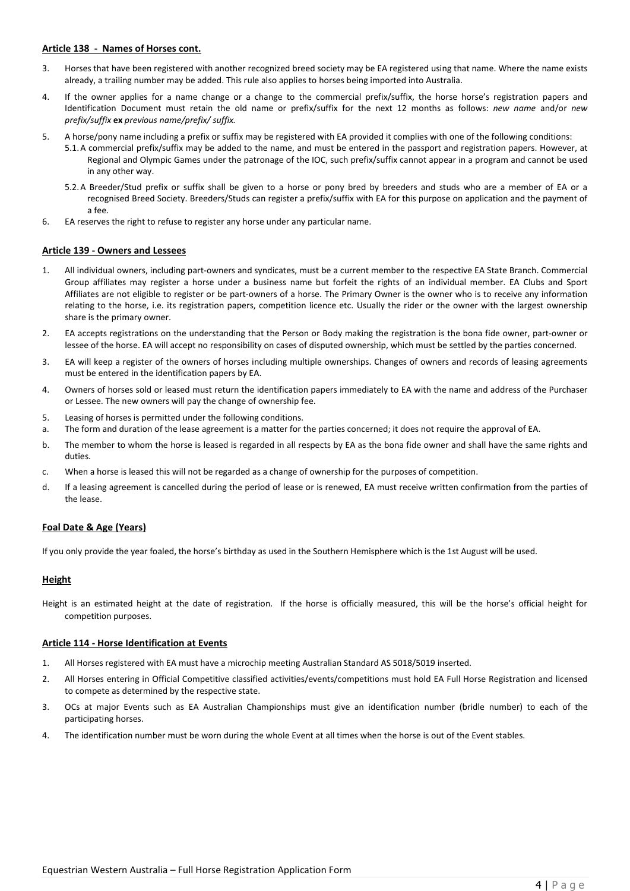#### **Article 138 - Names of Horses cont.**

- 3. Horses that have been registered with another recognized breed society may be EA registered using that name. Where the name exists already, a trailing number may be added. This rule also applies to horses being imported into Australia.
- 4. If the owner applies for a name change or a change to the commercial prefix/suffix, the horse horse's registration papers and Identification Document must retain the old name or prefix/suffix for the next 12 months as follows: *new name* and/or *new prefix/suffix* **ex** *previous name/prefix/ suffix.*
- 5. A horse/pony name including a prefix or suffix may be registered with EA provided it complies with one of the following conditions:
	- 5.1.A commercial prefix/suffix may be added to the name, and must be entered in the passport and registration papers. However, at Regional and Olympic Games under the patronage of the IOC, such prefix/suffix cannot appear in a program and cannot be used in any other way.
	- 5.2.A Breeder/Stud prefix or suffix shall be given to a horse or pony bred by breeders and studs who are a member of EA or a recognised Breed Society. Breeders/Studs can register a prefix/suffix with EA for this purpose on application and the payment of a fee.
- 6. EA reserves the right to refuse to register any horse under any particular name.

#### **Article 139 - Owners and Lessees**

- 1. All individual owners, including part-owners and syndicates, must be a current member to the respective EA State Branch. Commercial Group affiliates may register a horse under a business name but forfeit the rights of an individual member. EA Clubs and Sport Affiliates are not eligible to register or be part-owners of a horse. The Primary Owner is the owner who is to receive any information relating to the horse, i.e. its registration papers, competition licence etc. Usually the rider or the owner with the largest ownership share is the primary owner.
- 2. EA accepts registrations on the understanding that the Person or Body making the registration is the bona fide owner, part-owner or lessee of the horse. EA will accept no responsibility on cases of disputed ownership, which must be settled by the parties concerned.
- 3. EA will keep a register of the owners of horses including multiple ownerships. Changes of owners and records of leasing agreements must be entered in the identification papers by EA.
- 4. Owners of horses sold or leased must return the identification papers immediately to EA with the name and address of the Purchaser or Lessee. The new owners will pay the change of ownership fee.
- 5. Leasing of horses is permitted under the following conditions.
- a. The form and duration of the lease agreement is a matter for the parties concerned; it does not require the approval of EA.
- b. The member to whom the horse is leased is regarded in all respects by EA as the bona fide owner and shall have the same rights and duties.
- c. When a horse is leased this will not be regarded as a change of ownership for the purposes of competition.
- d. If a leasing agreement is cancelled during the period of lease or is renewed, EA must receive written confirmation from the parties of the lease.

#### **Foal Date & Age (Years)**

If you only provide the year foaled, the horse's birthday as used in the Southern Hemisphere which is the 1st August will be used.

#### **Height**

Height is an estimated height at the date of registration. If the horse is officially measured, this will be the horse's official height for competition purposes.

#### **Article 114 - Horse Identification at Events**

- 1. All Horses registered with EA must have a microchip meeting Australian Standard AS 5018/5019 inserted.
- 2. All Horses entering in Official Competitive classified activities/events/competitions must hold EA Full Horse Registration and licensed to compete as determined by the respective state.
- 3. OCs at major Events such as EA Australian Championships must give an identification number (bridle number) to each of the participating horses.
- 4. The identification number must be worn during the whole Event at all times when the horse is out of the Event stables.